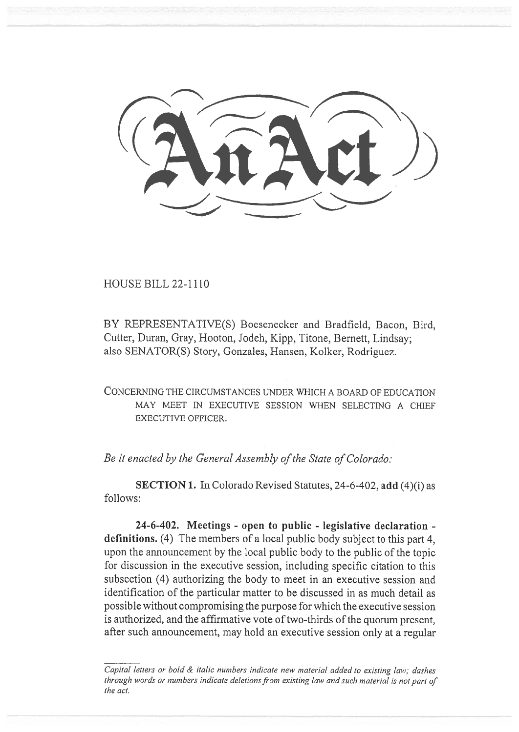HOUSE BILL 22-1110

BY REPRESENTATIVE(S) Boesenecker and Bradfield, Bacon, Bird, Cutter, Duran, Gray, Hooton, Jodeh, Kipp, Titone, Bernett, Lindsay; also SENATOR(S) Story, Gonzales, Hansen, Kolker, Rodriguez.

CONCERNING THE CIRCUMSTANCES UNDER WHICH A BOARD OF EDUCATION MAY MEET IN EXECUTIVE SESSION WHEN SELECTING A CHIEF EXECUTIVE OFFICER.

Be it enacted by the General Assembly of the State of Colorado:

SECTION 1. In Colorado Revised Statutes, 24-6-402, add (4)(i) as follows:

24-6-402. Meetings - open to public - legislative declaration definitions. (4) The members of a local public body subject to this part 4, upon the announcement by the local public body to the public of the topic for discussion in the executive session, including specific citation to this subsection (4) authorizing the body to meet in an executive session and identification of the particular matter to be discussed in as much detail as possible without compromising the purpose for which the executive session is authorized, and the affirmative vote of two-thirds of the quorum present, after such announcement, may hold an executive session only at a regular

Capital letters or bold & italic numbers indicate new material added to existing law; dashes through words or numbers indicate deletions from existing law and such material is not part of the act,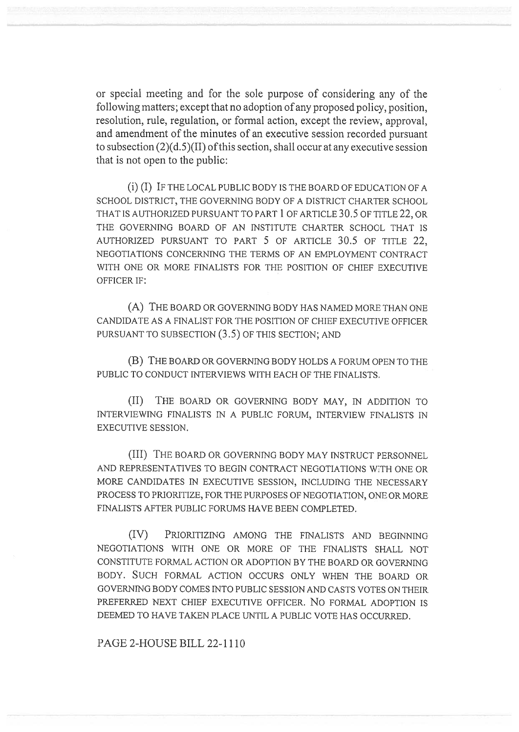or special meeting and for the sole purpose of considering any of the following matters; except that no adoption of any proposed policy, position, resolution, rule, regulation, or formal action, except the review, approval, and amendment of the minutes of an executive session recorded pursuant to subsection (2)(d.5)(II) of this section, shall occur at any executive session that is not open to the public:

(i) (I) IF THE LOCAL PUBLIC BODY IS THE BOARD OF EDUCATION OF A SCHOOL DISTRICT, THE GOVERNING BODY OF A DISTRICT CHARTER SCHOOL THAT IS AUTHORIZED PURSUANT TO PART 1 OF ARTICLE 30.5 OF TITLE 22, OR THE GOVERNING BOARD OF AN INSTITUTE CHARTER SCHOOL THAT IS AUTHORIZED PURSUANT TO PART 5 OF ARTICLE 30.5 OF TITLE 22, NEGOTIATIONS CONCERNING THE TERMS OF AN EMPLOYMENT CONTRACT WITH ONE OR MORE FINALISTS FOR THE POSITION OF CHIEF EXECUTIVE OFFICER IF:

(A) THE BOARD OR GOVERNING BODY HAS NAMED MORE THAN ONE CANDIDATE AS A FINALIST FOR THE POSITION OF CHIEF EXECUTIVE OFFICER PURSUANT TO SUBSECTION (3.5) OF THIS SECTION; AND

(B) THE BOARD OR GOVERNING BODY HOLDS A FORUM OPEN TO THE PUBLIC TO CONDUCT INTERVIEWS WITH EACH OF THE FINALISTS.

(II) THE BOARD OR GOVERNING BODY MAY, IN ADDITION TO INTERVIEWING FINALISTS IN A PUBLIC FORUM, INTERVIEW FINALISTS IN EXECUTIVE SESSION.

(III) THE BOARD OR GOVERNING BODY MAY INSTRUCT PERSONNEL AND REPRESENTATIVES TO BEGIN CONTRACT NEGOTIATIONS WITH ONE OR MORE CANDIDATES IN EXECUTIVE SESSION, INCLUDING THE NECESSARY PROCESS TO PRIORITIZE, FOR THE PURPOSES OF NEGOTIATION, ONE OR MORE FINALISTS AFTER PUBLIC FORUMS HAVE BEEN COMPLETED.

(IV) PRIORITIZING AMONG THE FINALISTS AND BEGINNING NEGOTIATIONS WITH ONE OR MORE OF THE FINALISTS SHALL NOT CONSTITUTE FORMAL ACTION OR ADOPTION BY THE BOARD OR GOVERNING BODY. SUCH FORMAL ACTION OCCURS ONLY WHEN THE BOARD OR GOVERNING BODY COMES INTO PUBLIC SESSION AND CASTS VOTES ON THEIR PREFERRED NEXT CHIEF EXECUTIVE OFFICER. No FORMAL ADOPTION IS DEEMED TO HAVE TAKEN PLACE UNTIL A PUBLIC VOTE HAS OCCURRED.

PAGE 2-HOUSE BILL 22-1110